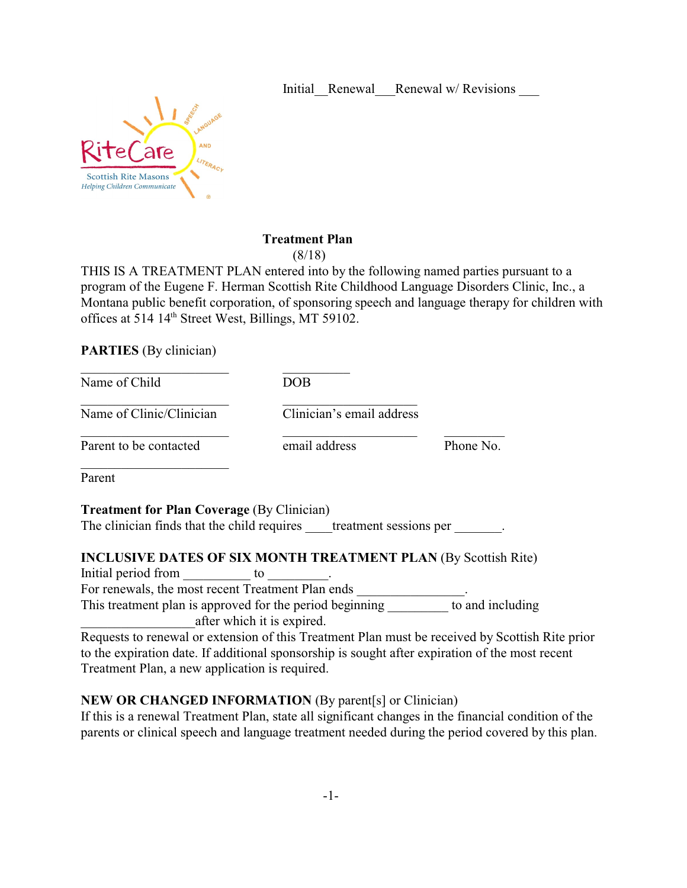Initial Renewal Renewal w/ Revisions



### **Treatment Plan**

(8/18)

THIS IS A TREATMENT PLAN entered into by the following named parties pursuant to a program of the Eugene F. Herman Scottish Rite Childhood Language Disorders Clinic, Inc., a Montana public benefit corporation, of sponsoring speech and language therapy for children with offices at 514 14th Street West, Billings, MT 59102.

**PARTIES** (By clinician)

| Name of Child            | DOB                       |           |
|--------------------------|---------------------------|-----------|
| Name of Clinic/Clinician | Clinician's email address |           |
| Parent to be contacted   | email address             | Phone No. |
| Parent                   |                           |           |

**Treatment for Plan Coverage (By Clinician)** The clinician finds that the child requires treatment sessions per

# **INCLUSIVE DATES OF SIX MONTH TREATMENT PLAN** (By Scottish Rite)

Initial period from \_\_\_\_\_\_\_\_\_\_\_ to \_

For renewals, the most recent Treatment Plan ends

This treatment plan is approved for the period beginning to and including \_\_\_\_\_\_\_\_\_\_\_\_\_\_\_\_\_after which it is expired.

Requests to renewal or extension of this Treatment Plan must be received by Scottish Rite prior to the expiration date. If additional sponsorship is sought after expiration of the most recent Treatment Plan, a new application is required.

# **NEW OR CHANGED INFORMATION** (By parent[s] or Clinician)

If this is a renewal Treatment Plan, state all significant changes in the financial condition of the parents or clinical speech and language treatment needed during the period covered by this plan.